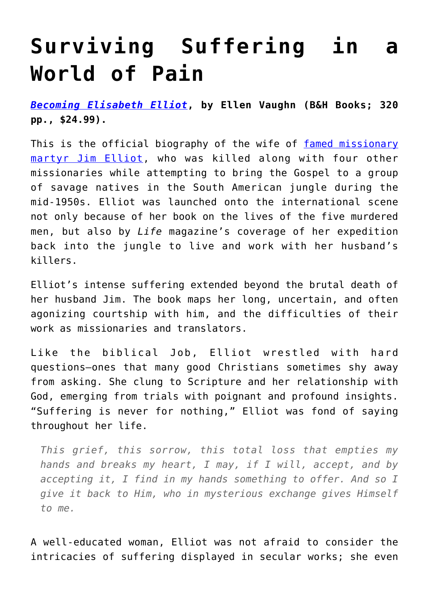## **[Surviving Suffering in a](https://intellectualtakeout.org/2021/08/surviving-suffering-in-a-world-of-pain/) [World of Pain](https://intellectualtakeout.org/2021/08/surviving-suffering-in-a-world-of-pain/)**

*[Becoming Elisabeth Elliot](https://www.amazon.com/gp/product/1535910933/ref=as_li_tl?ie=UTF8&camp=1789&creative=9325&creativeASIN=1535910933&linkCode=as2&tag=intelltakeo0d-20&linkId=818fb01a70f78afafcd38d3c2056610e)***, by Ellen Vaughn (B&H Books; 320 pp., \$24.99).**

This is the official biography of the wife of [famed missionary](https://books.google.com/books?id=gT8EAAAAMBAJ&q=Five+Do+and+Die#v=onepage&q=Five%20Do%20and%20Die&f=false) [martyr Jim Elliot,](https://books.google.com/books?id=gT8EAAAAMBAJ&q=Five+Do+and+Die#v=onepage&q=Five%20Do%20and%20Die&f=false) who was killed along with four other missionaries while attempting to bring the Gospel to a group of savage natives in the South American jungle during the mid-1950s. Elliot was launched onto the international scene not only because of her book on the lives of the five murdered men, but also by *Life* magazine's coverage of her expedition back into the jungle to live and work with her husband's killers.

Elliot's intense suffering extended beyond the brutal death of her husband Jim. The book maps her long, uncertain, and often agonizing courtship with him, and the difficulties of their work as missionaries and translators.

Like the biblical Job, Elliot wrestled with hard questions—ones that many good Christians sometimes shy away from asking. She clung to Scripture and her relationship with God, emerging from trials with poignant and profound insights. "Suffering is never for nothing," Elliot was fond of saying throughout her life.

*This grief, this sorrow, this total loss that empties my hands and breaks my heart, I may, if I will, accept, and by accepting it, I find in my hands something to offer. And so I give it back to Him, who in mysterious exchange gives Himself to me.*

A well-educated woman, Elliot was not afraid to consider the intricacies of suffering displayed in secular works; she even